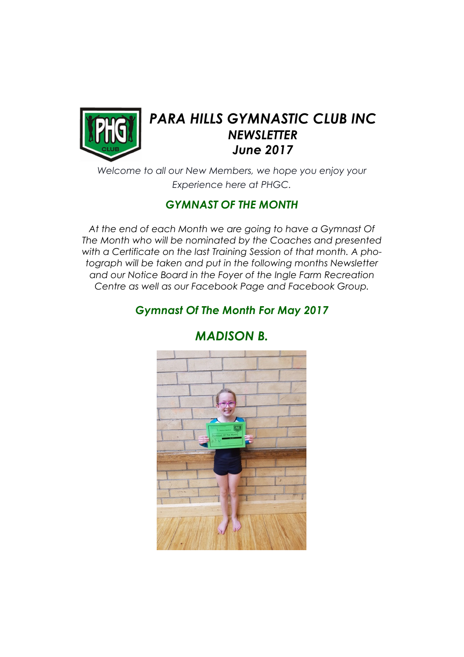

# PARA HILLS GYMNASTIC CLUB INC **NEWSLETTER** June 2017

Welcome to all our New Members, we hope you enjoy your Experience here at PHGC.

#### GYMNAST OF THE MONTH

At the end of each Month we are going to have a Gymnast Of The Month who will be nominated by the Coaches and presented with a Certificate on the last Training Session of that month. A photograph will be taken and put in the following months Newsletter and our Notice Board in the Foyer of the Ingle Farm Recreation Centre as well as our Facebook Page and Facebook Group.

# Gymnast Of The Month For May 2017



# MADISON B.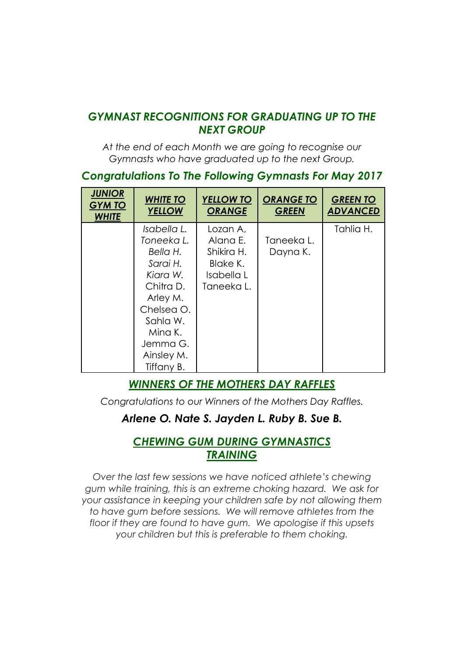#### GYMNAST RECOGNITIONS FOR GRADUATING UP TO THE NEXT GROUP

At the end of each Month we are going to recognise our Gymnasts who have graduated up to the next Group.

#### Congratulations To The Following Gymnasts For May 2017

| <b>JUNIOR</b><br><b>GYM TO</b><br><b>WHITE</b> | <b>WHITE TO</b><br><b>YELLOW</b> | <b>YELLOW TO</b><br><b>ORANGE</b> | <b>ORANGE TO</b><br><b>GREEN</b> | <b>GREEN TO</b><br><b>ADVANCED</b> |
|------------------------------------------------|----------------------------------|-----------------------------------|----------------------------------|------------------------------------|
|                                                | Isabella L.                      | Lozan A,                          |                                  | Tahlia H.                          |
|                                                | Toneeka L.                       | Alana E.                          | Taneeka L.                       |                                    |
|                                                | Bella H.                         | Shikira H.                        | Dayna K.                         |                                    |
|                                                | Sarai H.                         | Blake K.                          |                                  |                                    |
|                                                | Kiara W.                         | Isabella L                        |                                  |                                    |
|                                                | Chitra D.                        | Taneeka L.                        |                                  |                                    |
|                                                | Arley M.                         |                                   |                                  |                                    |
|                                                | Chelsea O.                       |                                   |                                  |                                    |
|                                                | Sahla W.                         |                                   |                                  |                                    |
|                                                | Mina K.                          |                                   |                                  |                                    |
|                                                | Jemma G.                         |                                   |                                  |                                    |
|                                                | Ainsley M.                       |                                   |                                  |                                    |
|                                                | Tiffany B.                       |                                   |                                  |                                    |

# WINNERS OF THE MOTHERS DAY RAFFLES

Congratulations to our Winners of the Mothers Day Raffles.

# Arlene O. Nate S. Jayden L. Ruby B. Sue B.

#### CHEWING GUM DURING GYMNASTICS TRAINING

Over the last few sessions we have noticed athlete's chewing gum while training, this is an extreme choking hazard. We ask for your assistance in keeping your children safe by not allowing them to have gum before sessions. We will remove athletes from the floor if they are found to have gum. We apologise if this upsets your children but this is preferable to them choking.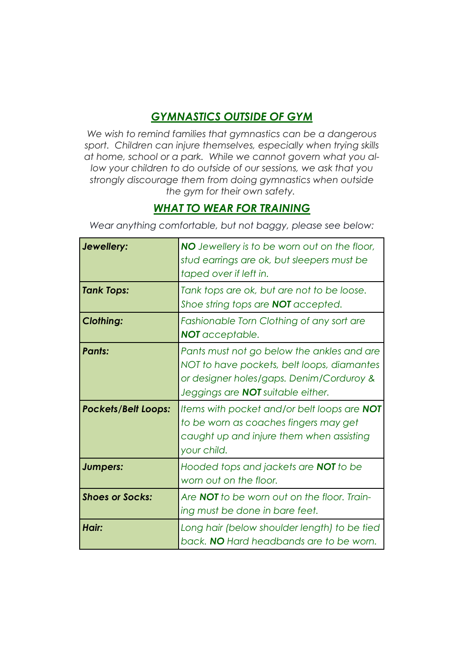# GYMNASTICS OUTSIDE OF GYM

We wish to remind families that gymnastics can be a dangerous sport. Children can injure themselves, especially when trying skills at home, school or a park. While we cannot govern what you allow your children to do outside of our sessions, we ask that you strongly discourage them from doing gymnastics when outside the gym for their own safety.

#### WHAT TO WEAR FOR TRAINING

Wear anything comfortable, but not baggy, please see below:

| Jewellery:                 | <b>NO</b> Jewellery is to be worn out on the floor,<br>stud earrings are ok, but sleepers must be<br>taped over if left in.                                                      |
|----------------------------|----------------------------------------------------------------------------------------------------------------------------------------------------------------------------------|
| <b>Tank Tops:</b>          | Tank tops are ok, but are not to be loose.<br>Shoe string tops are <b>NOT</b> accepted.                                                                                          |
| <b>Clothing:</b>           | Fashionable Torn Clothing of any sort are<br>NOT acceptable.                                                                                                                     |
| <b>Pants:</b>              | Pants must not go below the ankles and are<br>NOT to have pockets, belt loops, diamantes<br>or designer holes/gaps. Denim/Corduroy &<br>Jeggings are <b>NOT</b> suitable either. |
| <b>Pockets/Belt Loops:</b> | Items with pocket and/or belt loops are <b>NOT</b><br>to be worn as coaches fingers may get<br>caught up and injure them when assisting<br>your child.                           |
| Jumpers:                   | Hooded tops and jackets are <b>NOT</b> to be<br>worn out on the floor.                                                                                                           |
| <b>Shoes or Socks:</b>     | Are <b>NOT</b> to be worn out on the floor. Train-<br>ing must be done in bare feet.                                                                                             |
| Hair:                      | Long hair (below shoulder length) to be tied<br>back. NO Hard headbands are to be worn.                                                                                          |